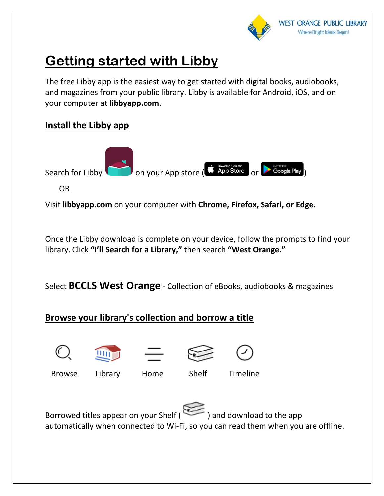

# **Getting started with Libby**

The free [Libby app](https://meet.libbyapp.com/) is the easiest way to get started with digital books, audiobooks, and magazines from your public library. Libby is available for Android, iOS, and on your computer at **[libbyapp.com](https://libbyapp.com/)**.

### **Install the Libby app**



Visit **[libbyapp.com](https://libbyapp.com/)** on your computer with **Chrome, Firefox, Safari, or Edge.**

Once the Libby download is complete on your device, follow the prompts to find your library. Click **"I'll Search for a Library,"** then search **"West Orange."**

Select **BCCLS West Orange** - Collection of eBooks, audiobooks & magazines

## **Browse your library's collection and borrow a title**









Browse Library Home Shelf Timeline

Borrowed titles appear on your Shelf ( $\sum$ ) and download to the app automatically when connected to Wi-Fi, so you can read them when you are offline.